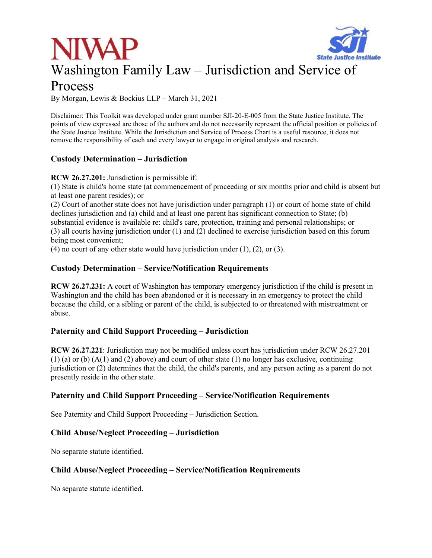# **State Justice Institute** Washington Family Law – Jurisdiction and Service of



By Morgan, Lewis & Bockius LLP – March 31, 2021

Disclaimer: This Toolkit was developed under grant number SJI-20-E-005 from the State Justice Institute. The points of view expressed are those of the authors and do not necessarily represent the official position or policies of the State Justice Institute. While the Jurisdiction and Service of Process Chart is a useful resource, it does not remove the responsibility of each and every lawyer to engage in original analysis and research.

# **Custody Determination – Jurisdiction**

**RCW 26.27.201:** Jurisdiction is permissible if:

(1) State is child's home state (at commencement of proceeding or six months prior and child is absent but at least one parent resides); or

(2) Court of another state does not have jurisdiction under paragraph (1) or court of home state of child declines jurisdiction and (a) child and at least one parent has significant connection to State; (b) substantial evidence is available re: child's care, protection, training and personal relationships; or (3) all courts having jurisdiction under (1) and (2) declined to exercise jurisdiction based on this forum being most convenient;

(4) no court of any other state would have jurisdiction under  $(1)$ ,  $(2)$ , or  $(3)$ .

## **Custody Determination – Service/Notification Requirements**

**RCW 26.27.231:** A court of Washington has temporary emergency jurisdiction if the child is present in Washington and the child has been abandoned or it is necessary in an emergency to protect the child because the child, or a sibling or parent of the child, is subjected to or threatened with mistreatment or abuse.

# **Paternity and Child Support Proceeding – Jurisdiction**

**RCW 26.27.221**: Jurisdiction may not be modified unless court has jurisdiction under RCW 26.27.201  $(1)$  (a) or (b)  $(A(1)$  and  $(2)$  above) and court of other state  $(1)$  no longer has exclusive, continuing jurisdiction or (2) determines that the child, the child's parents, and any person acting as a parent do not presently reside in the other state.

# **Paternity and Child Support Proceeding – Service/Notification Requirements**

See Paternity and Child Support Proceeding – Jurisdiction Section.

# **Child Abuse/Neglect Proceeding – Jurisdiction**

No separate statute identified.

# **Child Abuse/Neglect Proceeding – Service/Notification Requirements**

No separate statute identified.